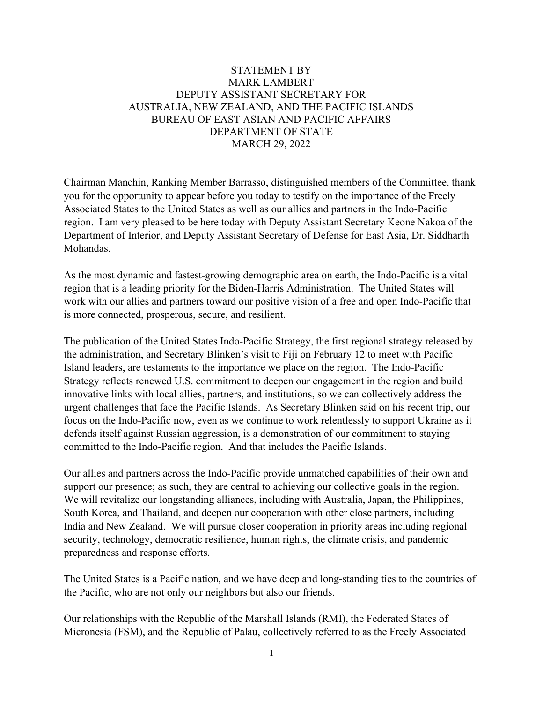## STATEMENT BY MARK LAMBERT DEPUTY ASSISTANT SECRETARY FOR AUSTRALIA, NEW ZEALAND, AND THE PACIFIC ISLANDS BUREAU OF EAST ASIAN AND PACIFIC AFFAIRS DEPARTMENT OF STATE MARCH 29, 2022

Chairman Manchin, Ranking Member Barrasso, distinguished members of the Committee, thank you for the opportunity to appear before you today to testify on the importance of the Freely Associated States to the United States as well as our allies and partners in the Indo-Pacific region. I am very pleased to be here today with Deputy Assistant Secretary Keone Nakoa of the Department of Interior, and Deputy Assistant Secretary of Defense for East Asia, Dr. Siddharth Mohandas.

As the most dynamic and fastest-growing demographic area on earth, the Indo-Pacific is a vital region that is a leading priority for the Biden-Harris Administration. The United States will work with our allies and partners toward our positive vision of a free and open Indo-Pacific that is more connected, prosperous, secure, and resilient.

The publication of the United States Indo-Pacific Strategy, the first regional strategy released by the administration, and Secretary Blinken's visit to Fiji on February 12 to meet with Pacific Island leaders, are testaments to the importance we place on the region. The Indo-Pacific Strategy reflects renewed U.S. commitment to deepen our engagement in the region and build innovative links with local allies, partners, and institutions, so we can collectively address the urgent challenges that face the Pacific Islands. As Secretary Blinken said on his recent trip, our focus on the Indo-Pacific now, even as we continue to work relentlessly to support Ukraine as it defends itself against Russian aggression, is a demonstration of our commitment to staying committed to the Indo-Pacific region. And that includes the Pacific Islands.

Our allies and partners across the Indo-Pacific provide unmatched capabilities of their own and support our presence; as such, they are central to achieving our collective goals in the region. We will revitalize our longstanding alliances, including with Australia, Japan, the Philippines, South Korea, and Thailand, and deepen our cooperation with other close partners, including India and New Zealand. We will pursue closer cooperation in priority areas including regional security, technology, democratic resilience, human rights, the climate crisis, and pandemic preparedness and response efforts.

The United States is a Pacific nation, and we have deep and long-standing ties to the countries of the Pacific, who are not only our neighbors but also our friends.

Our relationships with the Republic of the Marshall Islands (RMI), the Federated States of Micronesia (FSM), and the Republic of Palau, collectively referred to as the Freely Associated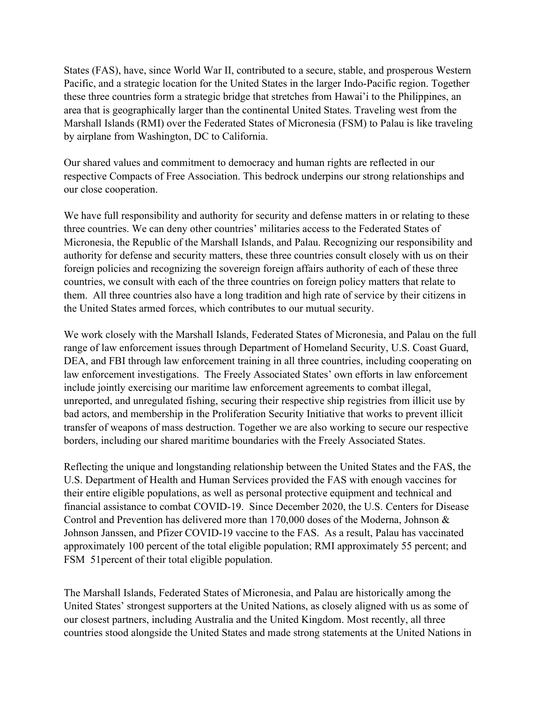States (FAS), have, since World War II, contributed to a secure, stable, and prosperous Western Pacific, and a strategic location for the United States in the larger Indo-Pacific region. Together these three countries form a strategic bridge that stretches from Hawai'i to the Philippines, an area that is geographically larger than the continental United States. Traveling west from the Marshall Islands (RMI) over the Federated States of Micronesia (FSM) to Palau is like traveling by airplane from Washington, DC to California.

Our shared values and commitment to democracy and human rights are reflected in our respective Compacts of Free Association. This bedrock underpins our strong relationships and our close cooperation.

We have full responsibility and authority for security and defense matters in or relating to these three countries. We can deny other countries' militaries access to the Federated States of Micronesia, the Republic of the Marshall Islands, and Palau. Recognizing our responsibility and authority for defense and security matters, these three countries consult closely with us on their foreign policies and recognizing the sovereign foreign affairs authority of each of these three countries, we consult with each of the three countries on foreign policy matters that relate to them. All three countries also have a long tradition and high rate of service by their citizens in the United States armed forces, which contributes to our mutual security.

We work closely with the Marshall Islands, Federated States of Micronesia, and Palau on the full range of law enforcement issues through Department of Homeland Security, U.S. Coast Guard, DEA, and FBI through law enforcement training in all three countries, including cooperating on law enforcement investigations. The Freely Associated States' own efforts in law enforcement include jointly exercising our maritime law enforcement agreements to combat illegal, unreported, and unregulated fishing, securing their respective ship registries from illicit use by bad actors, and membership in the Proliferation Security Initiative that works to prevent illicit transfer of weapons of mass destruction. Together we are also working to secure our respective borders, including our shared maritime boundaries with the Freely Associated States.

Reflecting the unique and longstanding relationship between the United States and the FAS, the U.S. Department of Health and Human Services provided the FAS with enough vaccines for their entire eligible populations, as well as personal protective equipment and technical and financial assistance to combat COVID-19. Since December 2020, the U.S. Centers for Disease Control and Prevention has delivered more than 170,000 doses of the Moderna, Johnson & Johnson Janssen, and Pfizer COVID-19 vaccine to the FAS. As a result, Palau has vaccinated approximately 100 percent of the total eligible population; RMI approximately 55 percent; and FSM 51percent of their total eligible population.

The Marshall Islands, Federated States of Micronesia, and Palau are historically among the United States' strongest supporters at the United Nations, as closely aligned with us as some of our closest partners, including Australia and the United Kingdom. Most recently, all three countries stood alongside the United States and made strong statements at the United Nations in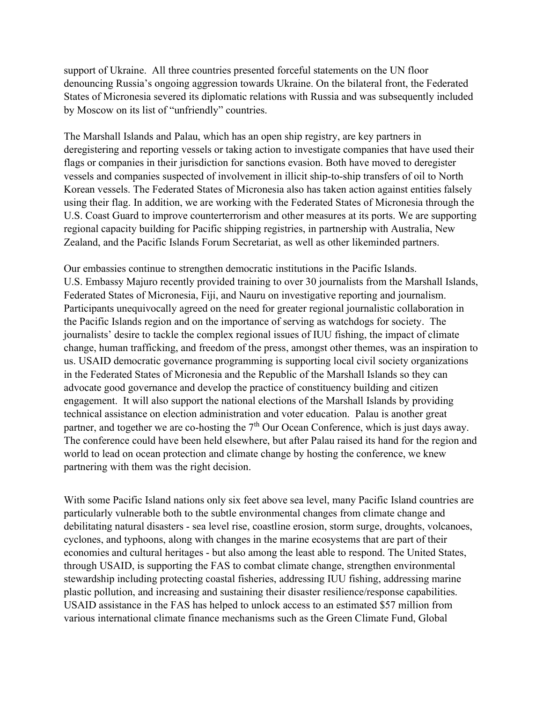support of Ukraine. All three countries presented forceful statements on the UN floor denouncing Russia's ongoing aggression towards Ukraine. On the bilateral front, the Federated States of Micronesia severed its diplomatic relations with Russia and was subsequently included by Moscow on its list of "unfriendly" countries.

The Marshall Islands and Palau, which has an open ship registry, are key partners in deregistering and reporting vessels or taking action to investigate companies that have used their flags or companies in their jurisdiction for sanctions evasion. Both have moved to deregister vessels and companies suspected of involvement in illicit ship-to-ship transfers of oil to North Korean vessels. The Federated States of Micronesia also has taken action against entities falsely using their flag. In addition, we are working with the Federated States of Micronesia through the U.S. Coast Guard to improve counterterrorism and other measures at its ports. We are supporting regional capacity building for Pacific shipping registries, in partnership with Australia, New Zealand, and the Pacific Islands Forum Secretariat, as well as other likeminded partners.

Our embassies continue to strengthen democratic institutions in the Pacific Islands. U.S. Embassy Majuro recently provided training to over 30 journalists from the Marshall Islands, Federated States of Micronesia, Fiji, and Nauru on investigative reporting and journalism. Participants unequivocally agreed on the need for greater regional journalistic collaboration in the Pacific Islands region and on the importance of serving as watchdogs for society. The journalists' desire to tackle the complex regional issues of IUU fishing, the impact of climate change, human trafficking, and freedom of the press, amongst other themes, was an inspiration to us. USAID democratic governance programming is supporting local civil society organizations in the Federated States of Micronesia and the Republic of the Marshall Islands so they can advocate good governance and develop the practice of constituency building and citizen engagement. It will also support the national elections of the Marshall Islands by providing technical assistance on election administration and voter education. Palau is another great partner, and together we are co-hosting the  $7<sup>th</sup>$  Our Ocean Conference, which is just days away. The conference could have been held elsewhere, but after Palau raised its hand for the region and world to lead on ocean protection and climate change by hosting the conference, we knew partnering with them was the right decision.

With some Pacific Island nations only six feet above sea level, many Pacific Island countries are particularly vulnerable both to the subtle environmental changes from climate change and debilitating natural disasters - sea level rise, coastline erosion, storm surge, droughts, volcanoes, cyclones, and typhoons, along with changes in the marine ecosystems that are part of their economies and cultural heritages - but also among the least able to respond. The United States, through USAID, is supporting the FAS to combat climate change, strengthen environmental stewardship including protecting coastal fisheries, addressing IUU fishing, addressing marine plastic pollution, and increasing and sustaining their disaster resilience/response capabilities. USAID assistance in the FAS has helped to unlock access to an estimated \$57 million from various international climate finance mechanisms such as the Green Climate Fund, Global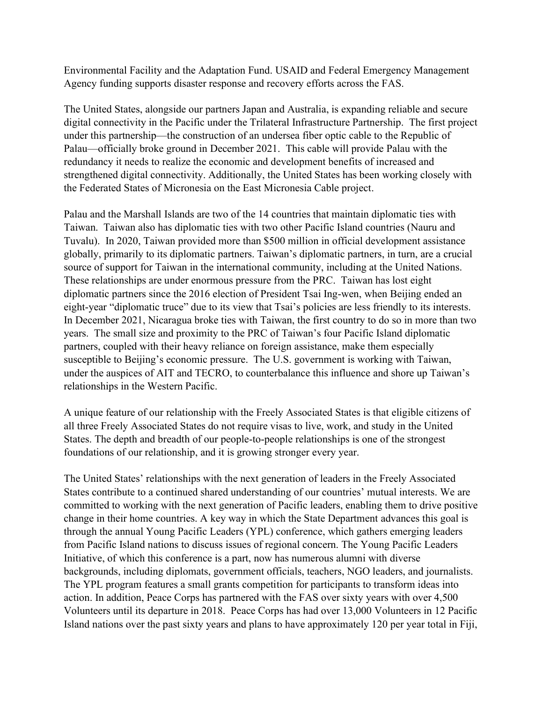Environmental Facility and the Adaptation Fund. USAID and Federal Emergency Management Agency funding supports disaster response and recovery efforts across the FAS.

The United States, alongside our partners Japan and Australia, is expanding reliable and secure digital connectivity in the Pacific under the Trilateral Infrastructure Partnership. The first project under this partnership—the construction of an undersea fiber optic cable to the Republic of Palau—officially broke ground in December 2021. This cable will provide Palau with the redundancy it needs to realize the economic and development benefits of increased and strengthened digital connectivity. Additionally, the United States has been working closely with the Federated States of Micronesia on the East Micronesia Cable project.

Palau and the Marshall Islands are two of the 14 countries that maintain diplomatic ties with Taiwan. Taiwan also has diplomatic ties with two other Pacific Island countries (Nauru and Tuvalu). In 2020, Taiwan provided more than \$500 million in official development assistance globally, primarily to its diplomatic partners. Taiwan's diplomatic partners, in turn, are a crucial source of support for Taiwan in the international community, including at the United Nations. These relationships are under enormous pressure from the PRC. Taiwan has lost eight diplomatic partners since the 2016 election of President Tsai Ing-wen, when Beijing ended an eight-year "diplomatic truce" due to its view that Tsai's policies are less friendly to its interests. In December 2021, Nicaragua broke ties with Taiwan, the first country to do so in more than two years. The small size and proximity to the PRC of Taiwan's four Pacific Island diplomatic partners, coupled with their heavy reliance on foreign assistance, make them especially susceptible to Beijing's economic pressure. The U.S. government is working with Taiwan, under the auspices of AIT and TECRO, to counterbalance this influence and shore up Taiwan's relationships in the Western Pacific.

A unique feature of our relationship with the Freely Associated States is that eligible citizens of all three Freely Associated States do not require visas to live, work, and study in the United States. The depth and breadth of our people-to-people relationships is one of the strongest foundations of our relationship, and it is growing stronger every year.

The United States' relationships with the next generation of leaders in the Freely Associated States contribute to a continued shared understanding of our countries' mutual interests. We are committed to working with the next generation of Pacific leaders, enabling them to drive positive change in their home countries. A key way in which the State Department advances this goal is through the annual Young Pacific Leaders (YPL) conference, which gathers emerging leaders from Pacific Island nations to discuss issues of regional concern. The Young Pacific Leaders Initiative, of which this conference is a part, now has numerous alumni with diverse backgrounds, including diplomats, government officials, teachers, NGO leaders, and journalists. The YPL program features a small grants competition for participants to transform ideas into action. In addition, Peace Corps has partnered with the FAS over sixty years with over 4,500 Volunteers until its departure in 2018. Peace Corps has had over 13,000 Volunteers in 12 Pacific Island nations over the past sixty years and plans to have approximately 120 per year total in Fiji,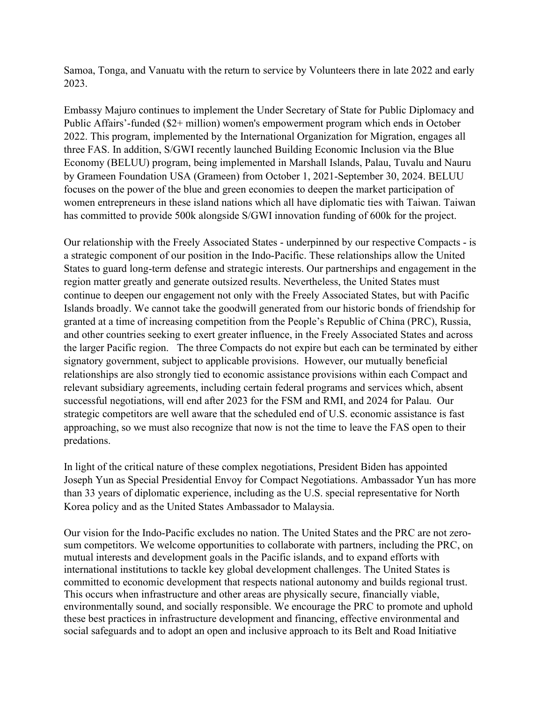Samoa, Tonga, and Vanuatu with the return to service by Volunteers there in late 2022 and early 2023.

Embassy Majuro continues to implement the Under Secretary of State for Public Diplomacy and Public Affairs'-funded (\$2+ million) women's empowerment program which ends in October 2022. This program, implemented by the International Organization for Migration, engages all three FAS. In addition, S/GWI recently launched Building Economic Inclusion via the Blue Economy (BELUU) program, being implemented in Marshall Islands, Palau, Tuvalu and Nauru by Grameen Foundation USA (Grameen) from October 1, 2021-September 30, 2024. BELUU focuses on the power of the blue and green economies to deepen the market participation of women entrepreneurs in these island nations which all have diplomatic ties with Taiwan. Taiwan has committed to provide 500k alongside S/GWI innovation funding of 600k for the project.

Our relationship with the Freely Associated States - underpinned by our respective Compacts - is a strategic component of our position in the Indo-Pacific. These relationships allow the United States to guard long-term defense and strategic interests. Our partnerships and engagement in the region matter greatly and generate outsized results. Nevertheless, the United States must continue to deepen our engagement not only with the Freely Associated States, but with Pacific Islands broadly. We cannot take the goodwill generated from our historic bonds of friendship for granted at a time of increasing competition from the People's Republic of China (PRC), Russia, and other countries seeking to exert greater influence, in the Freely Associated States and across the larger Pacific region. The three Compacts do not expire but each can be terminated by either signatory government, subject to applicable provisions. However, our mutually beneficial relationships are also strongly tied to economic assistance provisions within each Compact and relevant subsidiary agreements, including certain federal programs and services which, absent successful negotiations, will end after 2023 for the FSM and RMI, and 2024 for Palau. Our strategic competitors are well aware that the scheduled end of U.S. economic assistance is fast approaching, so we must also recognize that now is not the time to leave the FAS open to their predations.

In light of the critical nature of these complex negotiations, President Biden has appointed Joseph Yun as Special Presidential Envoy for Compact Negotiations. Ambassador Yun has more than 33 years of diplomatic experience, including as the U.S. special representative for North Korea policy and as the United States Ambassador to Malaysia.

Our vision for the Indo-Pacific excludes no nation. The United States and the PRC are not zerosum competitors. We welcome opportunities to collaborate with partners, including the PRC, on mutual interests and development goals in the Pacific islands, and to expand efforts with international institutions to tackle key global development challenges. The United States is committed to economic development that respects national autonomy and builds regional trust. This occurs when infrastructure and other areas are physically secure, financially viable, environmentally sound, and socially responsible. We encourage the PRC to promote and uphold these best practices in infrastructure development and financing, effective environmental and social safeguards and to adopt an open and inclusive approach to its Belt and Road Initiative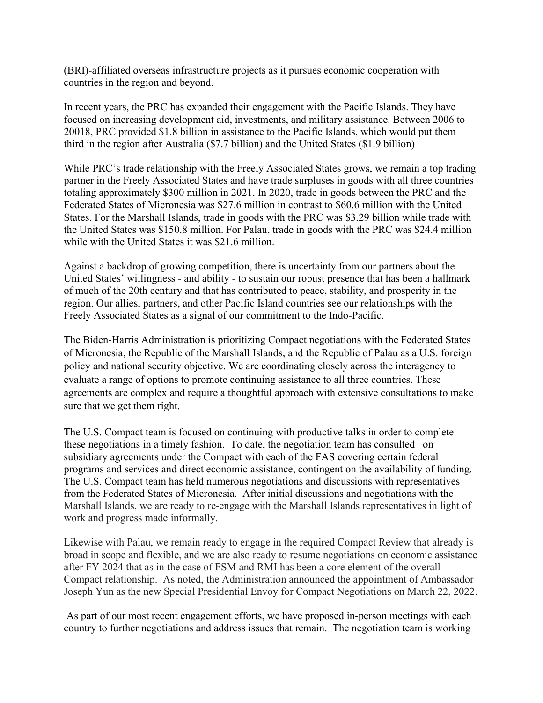(BRI)-affiliated overseas infrastructure projects as it pursues economic cooperation with countries in the region and beyond.

In recent years, the PRC has expanded their engagement with the Pacific Islands. They have focused on increasing development aid, investments, and military assistance. Between 2006 to 20018, PRC provided \$1.8 billion in assistance to the Pacific Islands, which would put them third in the region after Australia (\$7.7 billion) and the United States (\$1.9 billion)

While PRC's trade relationship with the Freely Associated States grows, we remain a top trading partner in the Freely Associated States and have trade surpluses in goods with all three countries totaling approximately \$300 million in 2021. In 2020, trade in goods between the PRC and the Federated States of Micronesia was \$27.6 million in contrast to \$60.6 million with the United States. For the Marshall Islands, trade in goods with the PRC was \$3.29 billion while trade with the United States was \$150.8 million. For Palau, trade in goods with the PRC was \$24.4 million while with the United States it was \$21.6 million.

Against a backdrop of growing competition, there is uncertainty from our partners about the United States' willingness - and ability - to sustain our robust presence that has been a hallmark of much of the 20th century and that has contributed to peace, stability, and prosperity in the region. Our allies, partners, and other Pacific Island countries see our relationships with the Freely Associated States as a signal of our commitment to the Indo-Pacific.

The Biden-Harris Administration is prioritizing Compact negotiations with the Federated States of Micronesia, the Republic of the Marshall Islands, and the Republic of Palau as a U.S. foreign policy and national security objective. We are coordinating closely across the interagency to evaluate a range of options to promote continuing assistance to all three countries. These agreements are complex and require a thoughtful approach with extensive consultations to make sure that we get them right.

The U.S. Compact team is focused on continuing with productive talks in order to complete these negotiations in a timely fashion. To date, the negotiation team has consulted on subsidiary agreements under the Compact with each of the FAS covering certain federal programs and services and direct economic assistance, contingent on the availability of funding. The U.S. Compact team has held numerous negotiations and discussions with representatives from the Federated States of Micronesia. After initial discussions and negotiations with the Marshall Islands, we are ready to re-engage with the Marshall Islands representatives in light of work and progress made informally.

Likewise with Palau, we remain ready to engage in the required Compact Review that already is broad in scope and flexible, and we are also ready to resume negotiations on economic assistance after FY 2024 that as in the case of FSM and RMI has been a core element of the overall Compact relationship. As noted, the Administration announced the appointment of Ambassador Joseph Yun as the new Special Presidential Envoy for Compact Negotiations on March 22, 2022.

As part of our most recent engagement efforts, we have proposed in-person meetings with each country to further negotiations and address issues that remain. The negotiation team is working